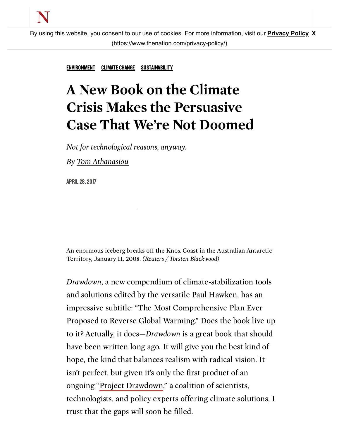

By using this website, you co[nsent to our use of cookies. For more information, visit our](https://www.thenation.com/privacy-policy/) **Privacy Policy X** (https://www.thenation.com/privacy-policy/)

[ENVIRONMENT](https://www.thenation.com/subject/environment/) [CLIMATE](https://www.thenation.com/subject/climate-change/) CHANGE [SUSTAINABILITY](https://www.thenation.com/subject/sustainability/)

## A New Book on the Climate Crisis Makes the Persuasive Case That We're Not Doomed

Not for technological reasons, anyway.

[m](javascript:void(0))

By Tom [Athanasiou](https://www.thenation.com/authors/tom-athanasiou/)

APRIL28,2017

An enormous iceberg breaks off the Knox Coast in the Australian Antarctic Territory, January 11, 2008. (Reuters / Torsten Blackwood)

Drawdown, a new compendium of climate-stabilization tools and solutions edited by the versatile Paul Hawken, has an impressive subtitle: "The Most Comprehensive Plan Ever Proposed to Reverse Global Warming." Does the book live up to it? Actually, it does—Drawdown is a great book that should have been written long ago. It will give you the best kind of hope, the kind that balances realism with radical vision. It isn't perfect, but given it's only the first product of an ongoing "Project [Drawdown,](http://www.drawdown.org/)" a coalition of scientists, technologists, and policy experts offering climate solutions, I trust that the gaps will soon be filled.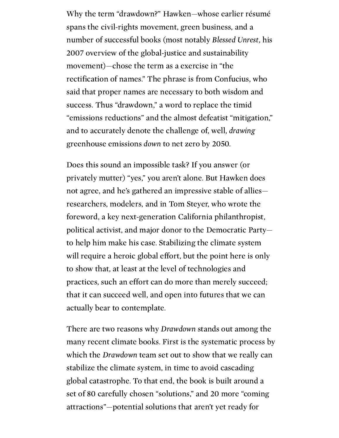Why the term "drawdown?" Hawken—whose earlier résumé spans the civil-rights movement, green business, and a number of successful books (most notably Blessed Unrest, his 2007 overview of the global-justice and sustainability movement)—chose the term as a exercise in "the rectification of names." The phrase is from Confucius, who said that proper names are necessary to both wisdom and success. Thus "drawdown," a word to replace the timid "emissions reductions" and the almost defeatist "mitigation," and to accurately denote the challenge of, well, drawing greenhouse emissions down to net zero by 2050.

> Does this sound an impossible task? If you answer (or privately mutter) "yes," you aren't alone. But Hawken does not agree, and he's gathered an impressive stable of allies researchers, modelers, and in Tom Steyer, who wrote the foreword, a key next-generation California philanthropist, political activist, and major donor to the Democratic Party to help him make his case. Stabilizing the climate system will require a heroic global effort, but the point here is only to show that, at least at the level of technologies and practices, such an effort can do more than merely succeed; that it can succeed well, and open into futures that we can actually bear to contemplate.

There are two reasons why Drawdown stands out among the many recent climate books. First is the systematic process by which the Drawdown team set out to show that we really can stabilize the climate system, in time to avoid cascading global catastrophe. To that end, the book is built around a set of 80 carefully chosen "solutions," and 20 more "coming attractions"—potential solutions that aren't yet ready for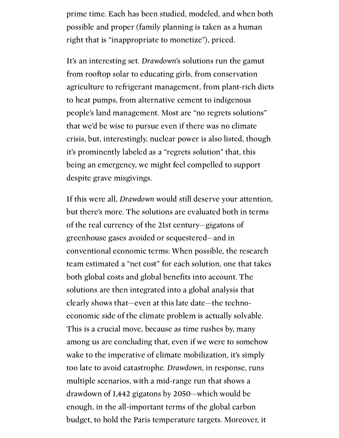prime time. Each has been studied, modeled, and when both possible and proper (family planning is taken as a human right that is "inappropriate to monetize"), priced.

> It's an interesting set. Drawdown's solutions run the gamut from rooftop solar to educating girls, from conservation agriculture to refrigerant management, from plant-rich diets to heat pumps, from alternative cement to indigenous people's land management. Most are "no regrets solutions" that we'd be wise to pursue even if there was no climate crisis, but, interestingly, nuclear power is also listed, though it's prominently labeled as a "regrets solution" that, this being an emergency, we might feel compelled to support despite grave misgivings.

> If this were all, Drawdown would still deserve your attention, but there's more. The solutions are evaluated both in terms of the real currency of the 21st century—gigatons of greenhouse gases avoided or sequestered—and in conventional economic terms: When possible, the research team estimated a "net cost" for each solution, one that takes both global costs and global benefits into account. The solutions are then integrated into a global analysis that clearly shows that—even at this late date—the technoeconomic side of the climate problem is actually solvable. This is a crucial move, because as time rushes by, many among us are concluding that, even if we were to somehow wake to the imperative of climate mobilization, it's simply too late to avoid catastrophe. Drawdown, in response, runs multiple scenarios, with a mid-range run that shows a drawdown of 1,442 gigatons by 2050—which would be enough, in the all-important terms of the global carbon budget, to hold the Paris temperature targets. Moreover, it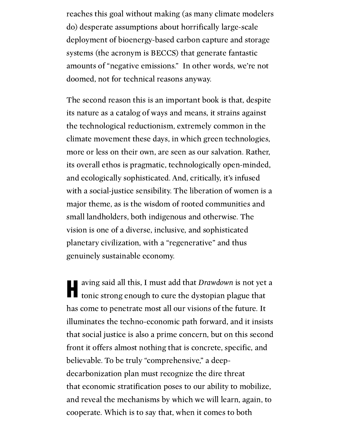reaches this goal without making (as many climate modelers do) desperate assumptions about horrifically large-scale deployment of bioenergy-based carbon capture and storage systems (the acronym is BECCS) that generate fantastic amounts of "negative emissions." In other words, we're not doomed, not for technical reasons anyway.

> The second reason this is an important book is that, despite its nature as a catalog of ways and means, it strains against the technological reductionism, extremely common in the climate movement these days, in which green technologies, more or less on their own, are seen as our salvation. Rather, its overall ethos is pragmatic, technologically open-minded, and ecologically sophisticated. And, critically, it's infused with a social-justice sensibility. The liberation of women is a major theme, as is the wisdom of rooted communities and small landholders, both indigenous and otherwise. The vision is one of a diverse, inclusive, and sophisticated planetary civilization, with a "regenerative" and thus genuinely sustainable economy.

> aving said all this, I must add that *Drawdown* is not yet a tonic strong enough to cure the dystopian plague that I tonic strong enough to cure the dystopian plague that has come to penetrate most all our visions of the future. It illuminates the techno-economic path forward, and it insists that social justice is also a prime concern, but on this second front it offers almost nothing that is concrete, specific, and believable. To be truly "comprehensive," a deepdecarbonization plan must recognize the dire threat that economic stratification poses to our ability to mobilize, and reveal the mechanisms by which we will learn, again, to cooperate. Which is to say that, when it comes to both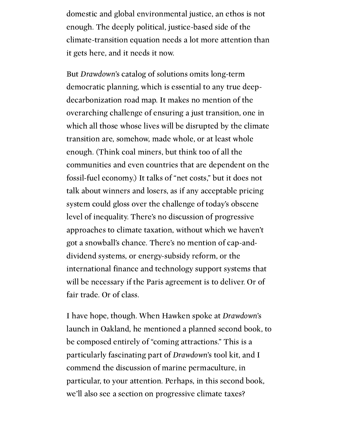domestic and global environmental justice, an ethos is not enough. The deeply political, justice-based side of the climate-transition equation needs a lot more attention than it gets here, and it needs it now.

> But Drawdown's catalog of solutions omits long-term democratic planning, which is essential to any true deepdecarbonization road map. It makes no mention of the overarching challenge of ensuring a just transition, one in which all those whose lives will be disrupted by the climate transition are, somehow, made whole, or at least whole enough. (Think coal miners, but think too of all the communities and even countries that are dependent on the fossil-fuel economy.) It talks of "net costs," but it does not talk about winners and losers, as if any acceptable pricing system could gloss over the challenge of today's obscene level of inequality. There's no discussion of progressive approaches to climate taxation, without which we haven't got a snowball's chance. There's no mention of cap-anddividend systems, or energy-subsidy reform, or the international finance and technology support systems that will be necessary if the Paris agreement is to deliver. Or of fair trade. Or of class.

> I have hope, though. When Hawken spoke at Drawdown's launch in Oakland, he mentioned a planned second book, to be composed entirely of "coming attractions." This is a particularly fascinating part of Drawdown's tool kit, and I commend the discussion of marine permaculture, in particular, to your attention. Perhaps, in this second book, we'll also see a section on progressive climate taxes?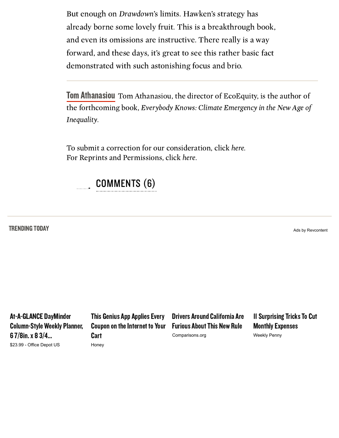But enough on Drawdown's limits. Hawken's strategy has already borne some lovely fruit. This is a breakthrough book, and even its omissions are instructive. There really is a way forward, and these days, it's great to see this rather basic fact demonstrated with such astonishing focus and brio.

> Tom [Athanasiou](https://www.thenation.com/authors/tom-athanasiou/) Tom Athanasiou, the director of EcoEquity, is the author of the forthcoming book, Everybody Knows: Climate Emergency in the New Age of Inequality.

To submit a correction for our consideration, click [here.](https://www.thenation.com/corrections?title=A+New+Book+on+the+Climate+Crisis+Makes+the+Persuasive+Case+That+We%E2%80%99re+Not+Doomed&url=https%3A%2F%2Fwww.thenation.com%2Farticle%2Fa-new-book-on-the-climate-crisis-makes-the-persuasive-case-that-were-not-doomed%2F) For Reprints and Permissions, click [here.](http://www.thenationreprints.com/services/reprints/)



## TRENDING TODAY

Ads by Revcontent

[At-A-GLANCE](https://trends.revcontent.com/click.php?d=tIGU4Xpd5LGzPQIML04zEM6rBKbH33%2BaMjnw90X6DcWUpOwGqPUPgqDdr6jEZtaz7seORncZMiuwS1ELIPvqvO1zfhK9sxTdjDCVZigaTT8y%2F%2FIE%2FjjInYWqxJWamuLOjh7Dt4421doywLxlfm3IYy6apEokBGw4dIjHf%2Fhb0QrvdnVWuUFm2K5STosm1EQtQZSXFpEbQ%2Bahqo%2FS8hGldaLFXkvtf1zNRh7kCvd4RX%2BWse%2Fu3L%2BGbLFV9S4nlXJBf8wLyB6bl7WshZKctWRkBr8Dpn58kGMk5y8kxITtYszDr7X0syfJc6xAA5eRZGSUVV8S05i6ni%2FtxA7k%2BNApeEBvnEXz1b4yyTo2DNh8dDdU%2BSmzLReGCsok%2BikOPqngMrrlv7plYWW3ZfYEZUVu2Rd6n3VSmC9XGyolYLygGcnuXmjRl8rxCTN%2Fe4YmSFiLFPI83fq9grzke8gh1HPQIQpnYXsVAEYtUTlb7Wb%2BzBCK5JygXc07nuV0wYa3GVTsnIDKO%2BoZf3otahVs%2BQ6Yya062ls60%2Fcp3t%2BtLfX9CTnpCgOseP4BhbaGedGWt6G4BwantB5gvHQZM%2B9TtvNQrNrFKYYNDAyVbQjwea7nPqrLsOZTm0CwYl4QGAyhlLkzpSk6YHJHJgOa1p80Lo6f3H53bk3x%2Bxu2NdgvEFqJhgwwDWYuOZ%2FL0d9jH%2BWfiLwkAhsyzFTIEoZiGRACDp6roHD3e8c1NisjHo4H8wvZBpCQdN%2FhfG5voV6dzMiXCdNcp5jymVww3oQGhkb9slFkgvoVTZq0AT5ZnzDBv32vepooqKShsQ1hhz06K5QknyllC7TiNPLiTYwAxt%2Fq33tB01L1BGlyteb5r3n2OvnI%2BThEm6fITcrEaghSBlft%2Fo5LaKRl7bXj%2F2jIGuBEtRSS%2FswDkodeXFw0ihDg%2Bl%2Bsjhfby2bFdTtQtPcOcT9hqUpl9Pj%2FodK0IhD02cJUVTT5wlA8tNnxie7So%2FBqWMCMJDIsiOsngxXqeHXIH0MBfKYaoyVDCYPV2yrBMCpHzR9vtx7Wy%2BOqey2hGY%2F1gpr8gdFRcxZCVre3JOSChXA%2BoZHmVhchvJtylaNHf4ZT8YzxwQqwlPNEZv9V%2FMr7KzHPdMGceB2TZ69wW5q8%2FuvtR5t%2FXUEppwxYJ6yjMk7etwG26D%2F1XxZSL3Lmu%2F%2BRMzb39dgjyI%2Faq8kxs4MoZOatmJjrOC9geDH%2BA%2FKWbhW%2BScBYkGZlELPUQMXq7NA9h5kZ%2BvqbKRp4%2FL99a8AYQBRYN0aOtKpt4sRM%2Bwk3rS%2B4uEWnBcx%2BZTSOmkhswLDJ862ua6J%2Be%2FHMsoN4tbRZX7zPlcRIXr9%2BEAJZ%2B1%2BgN36%2Bsrgj2XJkArInK2nW%2FmAtbL1UH%2BBUhkF27AN6p%2BDBJj90g0S9Xf9b2ZiIqe9D1l6DK1otJDFGWdAcO6q6AfruxN1F5%2F2U5al4SMS9ryadxHxgvT5sHpl2d2BQ4D%2BZF0z4P70S8Zhd7N18hyb6S9z9%2BDGHBi70QqagUgboB68vn1cWYgPUUQinbhYt3kkknoY6BBGXha9mif5o1vhqcatUlsk0q0SuLFpj3LpGMzbo%2Fr4IiU0v4mqRfG8wpqVfmVM6LQkhyg%3D%3D) DayMinder Column-Style Weekly Planner, 6 7/8in.x 8 3/4... \$23.99 - Office Depot US

This Genius App Applies Every Coupon on the Internet to Your **Cart** Honey

Drivers Around California Are **Furious About This New Rule** Comparisons.org

**11 Surprising Tricks To Cut Monthly Expenses** Weekly Penny